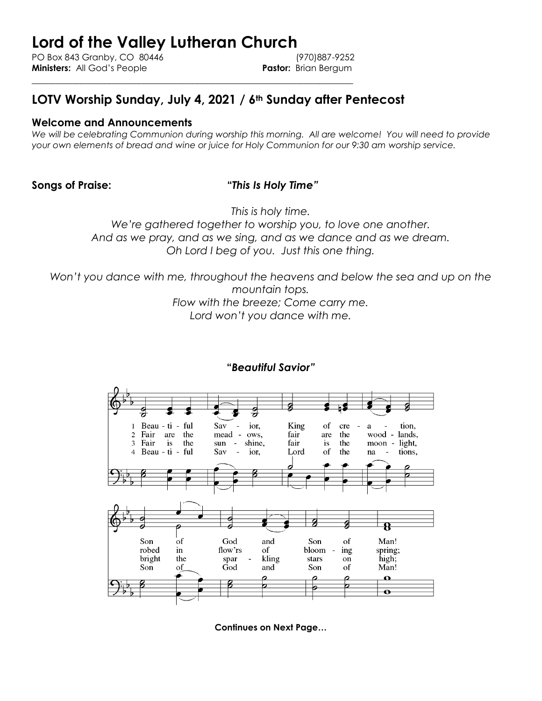# **Lord of the Valley Lutheran Church**

PO Box 843 Granby, CO 80446 (970)887-9252 **Ministers:** All God's People **Pastor:** Brian Bergum

## **LOTV Worship Sunday, July 4, 2021 / 6th Sunday after Pentecost**

\_\_\_\_\_\_\_\_\_\_\_\_\_\_\_\_\_\_\_\_\_\_\_\_\_\_\_\_\_\_\_\_\_\_\_\_\_\_\_\_\_\_\_\_\_\_\_\_\_\_\_\_\_\_\_\_\_\_\_\_\_\_\_\_\_\_

#### **Welcome and Announcements**

We will be celebrating Communion during worship this morning. All are welcome! You will need to provide *your own elements of bread and wine or juice for Holy Communion for our 9:30 am worship service.* 

#### **Songs of Praise: "***This Is Holy Time"*

*This is holy time.* 

*We're gathered together to worship you, to love one another. And as we pray, and as we sing, and as we dance and as we dream. Oh Lord I beg of you. Just this one thing.*

*Won't you dance with me, throughout the heavens and below the sea and up on the mountain tops.* 

> *Flow with the breeze; Come carry me. Lord won't you dance with me.*



#### **"***Beautiful Savior"*

**Continues on Next Page…**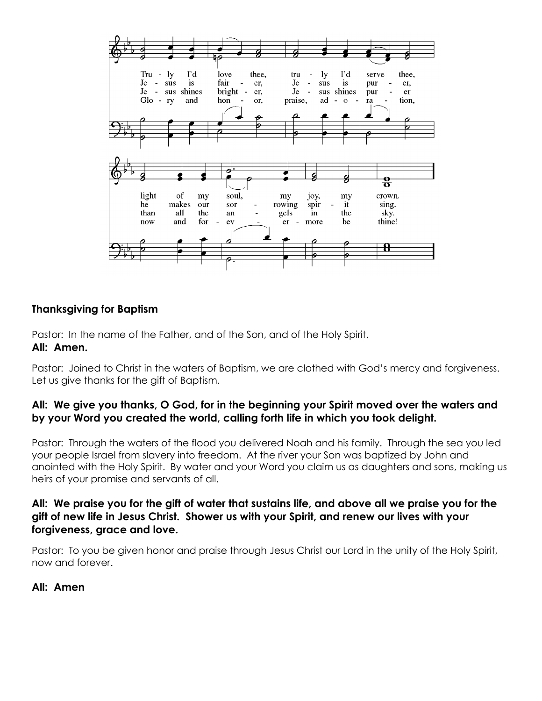

#### **Thanksgiving for Baptism**

Pastor: In the name of the Father, and of the Son, and of the Holy Spirit.

#### **All: Amen.**

Pastor: Joined to Christ in the waters of Baptism, we are clothed with God's mercy and forgiveness. Let us give thanks for the gift of Baptism.

#### **All: We give you thanks, O God, for in the beginning your Spirit moved over the waters and by your Word you created the world, calling forth life in which you took delight.**

Pastor: Through the waters of the flood you delivered Noah and his family. Through the sea you led your people Israel from slavery into freedom. At the river your Son was baptized by John and anointed with the Holy Spirit. By water and your Word you claim us as daughters and sons, making us heirs of your promise and servants of all.

#### **All: We praise you for the gift of water that sustains life, and above all we praise you for the gift of new life in Jesus Christ. Shower us with your Spirit, and renew our lives with your forgiveness, grace and love.**

Pastor: To you be given honor and praise through Jesus Christ our Lord in the unity of the Holy Spirit, now and forever.

#### **All: Amen**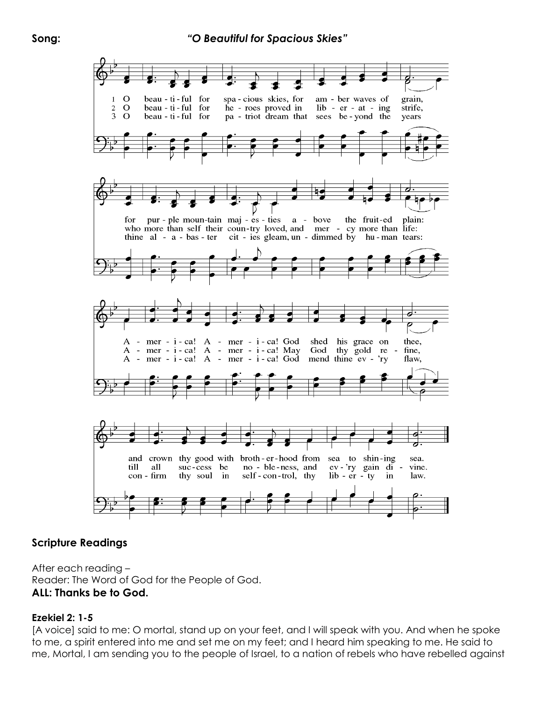

#### **Scripture Readings**

After each reading – Reader: The Word of God for the People of God. **ALL: Thanks be to God.**

#### **Ezekiel 2: 1-5**

[A voice] said to me: O mortal, stand up on your feet, and I will speak with you. And when he spoke to me, a spirit entered into me and set me on my feet; and I heard him speaking to me. He said to me, Mortal, I am sending you to the people of Israel, to a nation of rebels who have rebelled against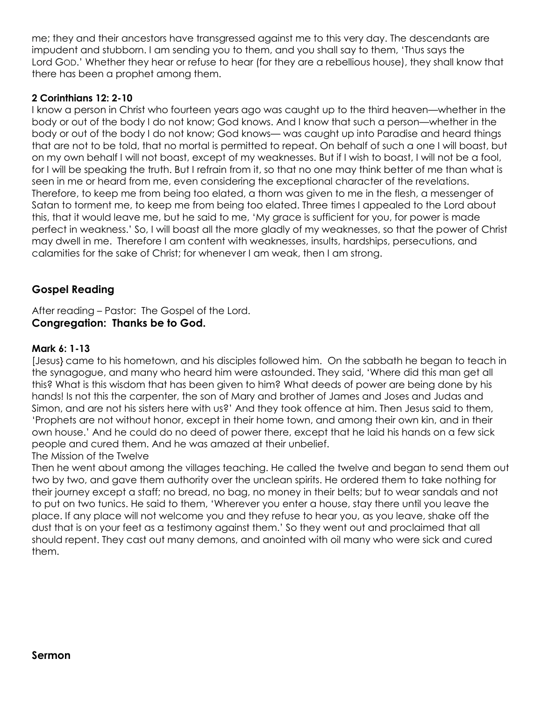me; they and their ancestors have transgressed against me to this very day. The descendants are impudent and stubborn. I am sending you to them, and you shall say to them, 'Thus says the Lord GOD.' Whether they hear or refuse to hear (for they are a rebellious house), they shall know that there has been a prophet among them.

#### **2 Corinthians 12: 2-10**

I know a person in Christ who fourteen years ago was caught up to the third heaven—whether in the body or out of the body I do not know; God knows. And I know that such a person—whether in the body or out of the body I do not know; God knows— was caught up into Paradise and heard things that are not to be told, that no mortal is permitted to repeat. On behalf of such a one I will boast, but on my own behalf I will not boast, except of my weaknesses. But if I wish to boast, I will not be a fool, for I will be speaking the truth. But I refrain from it, so that no one may think better of me than what is seen in me or heard from me, even considering the exceptional character of the revelations. Therefore, to keep me from being too elated, a thorn was given to me in the flesh, a messenger of Satan to torment me, to keep me from being too elated. Three times I appealed to the Lord about this, that it would leave me, but he said to me, 'My grace is sufficient for you, for power is made perfect in weakness.' So, I will boast all the more gladly of my weaknesses, so that the power of Christ may dwell in me. Therefore I am content with weaknesses, insults, hardships, persecutions, and calamities for the sake of Christ; for whenever I am weak, then I am strong.

### **Gospel Reading**

After reading – Pastor: The Gospel of the Lord. **Congregation: Thanks be to God.**

#### **Mark 6: 1-13**

[Jesus} came to his hometown, and his disciples followed him. On the sabbath he began to teach in the synagogue, and many who heard him were astounded. They said, 'Where did this man get all this? What is this wisdom that has been given to him? What deeds of power are being done by his hands! Is not this the carpenter, the son of Mary and brother of James and Joses and Judas and Simon, and are not his sisters here with us?' And they took offence at him. Then Jesus said to them, 'Prophets are not without honor, except in their home town, and among their own kin, and in their own house.' And he could do no deed of power there, except that he laid his hands on a few sick people and cured them. And he was amazed at their unbelief.

#### The Mission of the Twelve

Then he went about among the villages teaching. He called the twelve and began to send them out two by two, and gave them authority over the unclean spirits. He ordered them to take nothing for their journey except a staff; no bread, no bag, no money in their belts; but to wear sandals and not to put on two tunics. He said to them, 'Wherever you enter a house, stay there until you leave the place. If any place will not welcome you and they refuse to hear you, as you leave, shake off the dust that is on your feet as a testimony against them.' So they went out and proclaimed that all should repent. They cast out many demons, and anointed with oil many who were sick and cured them.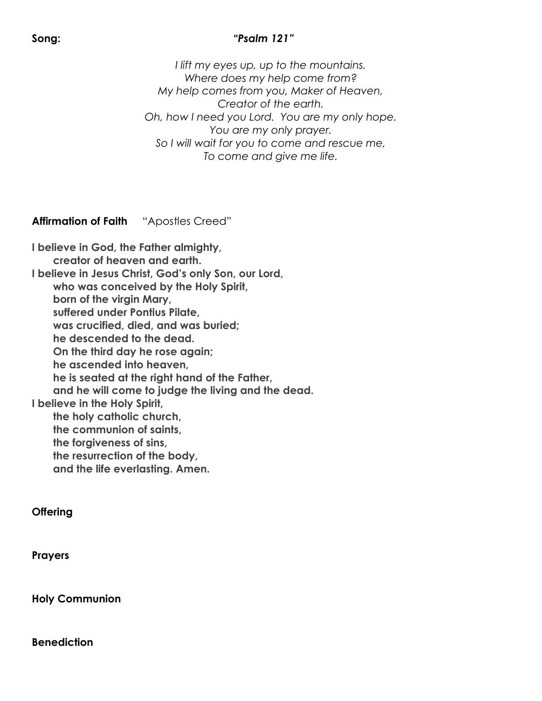### **Song:** *"Psalm 121"*

*I lift my eyes up, up to the mountains. Where does my help come from? My help comes from you, Maker of Heaven, Creator of the earth. Oh, how I need you Lord. You are my only hope. You are my only prayer. So I will wait for you to come and rescue me, To come and give me life.*

**Affirmation of Faith** "Apostles Creed"

**I believe in God, the Father almighty, creator of heaven and earth. I believe in Jesus Christ, God's only Son, our Lord, who was conceived by the Holy Spirit, born of the virgin Mary, suffered under Pontius Pilate, was crucified, died, and was buried; he descended to the dead. On the third day he rose again; he ascended into heaven, he is seated at the right hand of the Father, and he will come to judge the living and the dead. I believe in the Holy Spirit, the holy catholic church, the communion of saints, the forgiveness of sins, the resurrection of the body, and the life everlasting. Amen.**

#### **Offering**

**Prayers**

**Holy Communion**

**Benediction**